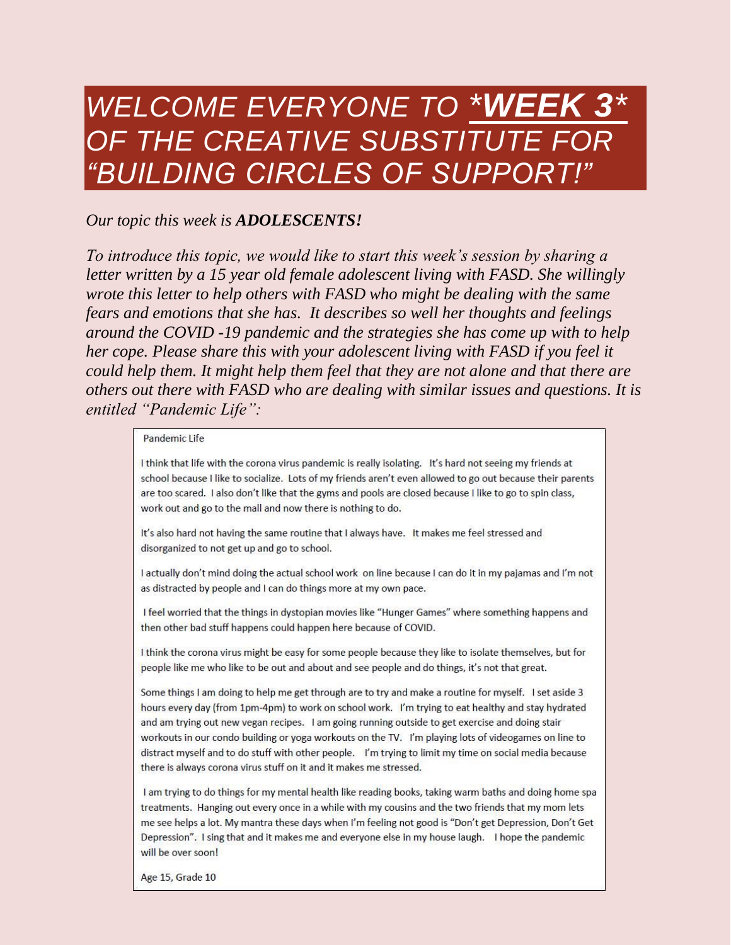## *WELCOME EVERYONE TO \*WEEK 3\* OF THE CREATIVE SUBSTITUTE FOR "BUILDING CIRCLES OF SUPPORT!"*

## *Our topic this week is ADOLESCENTS!*

*To introduce this topic, we would like to start this week's session by sharing a letter written by a 15 year old female adolescent living with FASD. She willingly wrote this letter to help others with FASD who might be dealing with the same fears and emotions that she has. It describes so well her thoughts and feelings around the COVID -19 pandemic and the strategies she has come up with to help her cope. Please share this with your adolescent living with FASD if you feel it could help them. It might help them feel that they are not alone and that there are others out there with FASD who are dealing with similar issues and questions. It is entitled "Pandemic Life":*

## Pandemic Life

I think that life with the corona virus pandemic is really isolating. It's hard not seeing my friends at school because I like to socialize. Lots of my friends aren't even allowed to go out because their parents are too scared. I also don't like that the gyms and pools are closed because I like to go to spin class, work out and go to the mall and now there is nothing to do.

It's also hard not having the same routine that I always have. It makes me feel stressed and disorganized to not get up and go to school.

I actually don't mind doing the actual school work on line because I can do it in my pajamas and I'm not as distracted by people and I can do things more at my own pace.

I feel worried that the things in dystopian movies like "Hunger Games" where something happens and then other bad stuff happens could happen here because of COVID.

I think the corona virus might be easy for some people because they like to isolate themselves, but for people like me who like to be out and about and see people and do things, it's not that great.

Some things I am doing to help me get through are to try and make a routine for myself. I set aside 3 hours every day (from 1pm-4pm) to work on school work. I'm trying to eat healthy and stay hydrated and am trying out new vegan recipes. I am going running outside to get exercise and doing stair workouts in our condo building or yoga workouts on the TV. I'm playing lots of videogames on line to distract myself and to do stuff with other people. I'm trying to limit my time on social media because there is always corona virus stuff on it and it makes me stressed.

I am trying to do things for my mental health like reading books, taking warm baths and doing home spa treatments. Hanging out every once in a while with my cousins and the two friends that my mom lets me see helps a lot. My mantra these days when I'm feeling not good is "Don't get Depression, Don't Get Depression". I sing that and it makes me and everyone else in my house laugh. I hope the pandemic will be over soon!

Age 15, Grade 10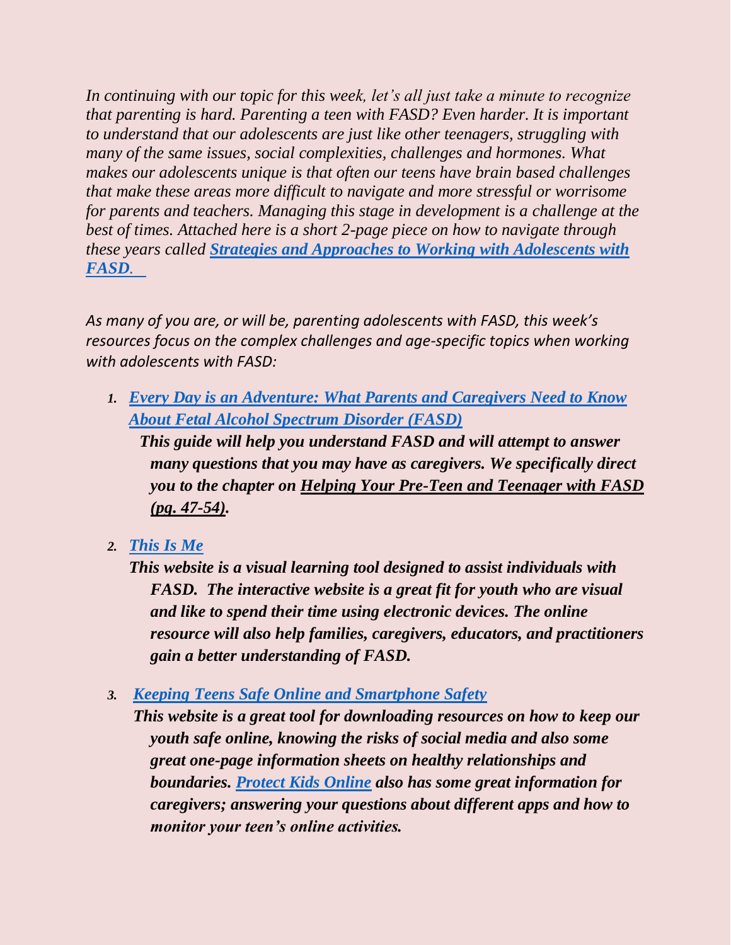*In continuing with our topic for this week, let's all just take a minute to recognize that parenting is hard. Parenting a teen with FASD? Even harder. It is important to understand that our adolescents are just like other teenagers, struggling with many of the same issues, social complexities, challenges and hormones. What makes our adolescents unique is that often our teens have brain based challenges that make these areas more difficult to navigate and more stressful or worrisome for parents and teachers. Managing this stage in development is a challenge at the best of times. Attached here is a short 2-page piece on how to navigate through these years called [Strategies and Approaches to Working](https://redrivernorthcts.com/wp-content/uploads/2020/04/editable-BCS-handout-colour.pdf) with Adolescents with [FASD](https://redrivernorthcts.com/wp-content/uploads/2020/04/editable-BCS-handout-colour.pdf).*

*As many of you are, or will be, parenting adolescents with FASD, this week's resources focus on the complex challenges and age-specific topics when working with adolescents with FASD:*

*1. [Every Day is an Adventure: What Parents and Caregivers Need to Know](https://www.gov.mb.ca/healthychild/fasd/fasd_caregivers.pdf)  [About Fetal Alcohol Spectrum Disorder \(FASD\)](https://www.gov.mb.ca/healthychild/fasd/fasd_caregivers.pdf)*

 *This guide will help you understand FASD and will attempt to answer many questions that you may have as caregivers. We specifically direct you to the chapter on Helping Your Pre-Teen and Teenager with FASD (pg. 47-54).* 

*2. [This Is Me](https://mefasd.com/)*

*This website is a visual learning tool designed to assist individuals with FASD. The interactive website is a great fit for youth who are visual and like to spend their time using electronic devices. The online resource will also help families, caregivers, educators, and practitioners gain a better understanding of FASD.* 

*3. [Keeping Teens Safe Online and Smartphone Safety](https://needhelpnow.ca/app/en/downloadable_resources-youth)*

*This website is a great tool for downloading resources on how to keep our youth safe online, knowing the risks of social media and also some great one-page information sheets on healthy relationships and boundaries. [Protect Kids Online](https://protectkidsonline.ca/app/en/additional_information) also has some great information for caregivers; answering your questions about different apps and how to monitor your teen's online activities.*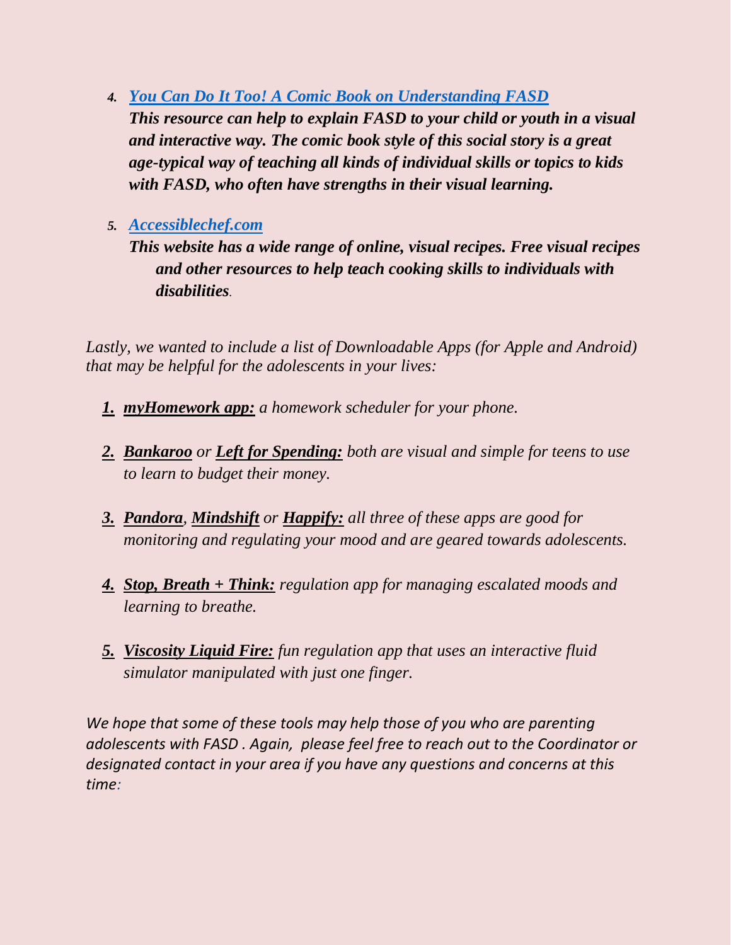- *4. [You Can Do It Too! A Comic Book on Understanding FASD](https://www.fasdoutreach.ca/resources/all/y/you-can-do-it-too) This resource can help to explain FASD to your child or youth in a visual and interactive way. The comic book style of this social story is a great age-typical way of teaching all kinds of individual skills or topics to kids with FASD, who often have strengths in their visual learning.*
- *5. [Accessiblechef.com](https://accessiblechef.com/)*
	- *This website has a wide range of online, visual recipes. Free visual recipes and other resources to help teach cooking skills to individuals with disabilities.*

Lastly, we wanted to include a list of Downloadable Apps (for Apple and Android) *that may be helpful for the adolescents in your lives:*

- *1. myHomework app: a homework scheduler for your phone.*
- *2. Bankaroo or Left for Spending: both are visual and simple for teens to use to learn to budget their money.*
- *3. Pandora, Mindshift or Happify: all three of these apps are good for monitoring and regulating your mood and are geared towards adolescents.*
- *4. Stop, Breath + Think: regulation app for managing escalated moods and learning to breathe.*
- *5. Viscosity Liquid Fire: fun regulation app that uses an interactive fluid simulator manipulated with just one finger.*

*We hope that some of these tools may help those of you who are parenting adolescents with FASD . Again, please feel free to reach out to the Coordinator or designated contact in your area if you have any questions and concerns at this time:*